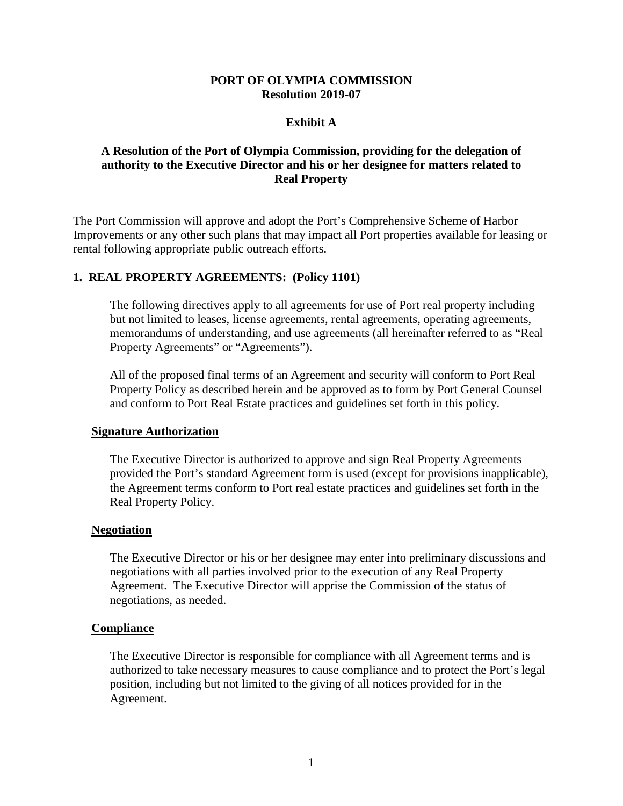### **PORT OF OLYMPIA COMMISSION Resolution 2019-07**

### **Exhibit A**

# **A Resolution of the Port of Olympia Commission, providing for the delegation of authority to the Executive Director and his or her designee for matters related to Real Property**

The Port Commission will approve and adopt the Port's Comprehensive Scheme of Harbor Improvements or any other such plans that may impact all Port properties available for leasing or rental following appropriate public outreach efforts.

## **1. REAL PROPERTY AGREEMENTS: (Policy 1101)**

The following directives apply to all agreements for use of Port real property including but not limited to leases, license agreements, rental agreements, operating agreements, memorandums of understanding, and use agreements (all hereinafter referred to as "Real Property Agreements" or "Agreements").

All of the proposed final terms of an Agreement and security will conform to Port Real Property Policy as described herein and be approved as to form by Port General Counsel and conform to Port Real Estate practices and guidelines set forth in this policy.

#### **Signature Authorization**

The Executive Director is authorized to approve and sign Real Property Agreements provided the Port's standard Agreement form is used (except for provisions inapplicable), the Agreement terms conform to Port real estate practices and guidelines set forth in the Real Property Policy.

#### **Negotiation**

The Executive Director or his or her designee may enter into preliminary discussions and negotiations with all parties involved prior to the execution of any Real Property Agreement. The Executive Director will apprise the Commission of the status of negotiations, as needed.

#### **Compliance**

The Executive Director is responsible for compliance with all Agreement terms and is authorized to take necessary measures to cause compliance and to protect the Port's legal position, including but not limited to the giving of all notices provided for in the Agreement.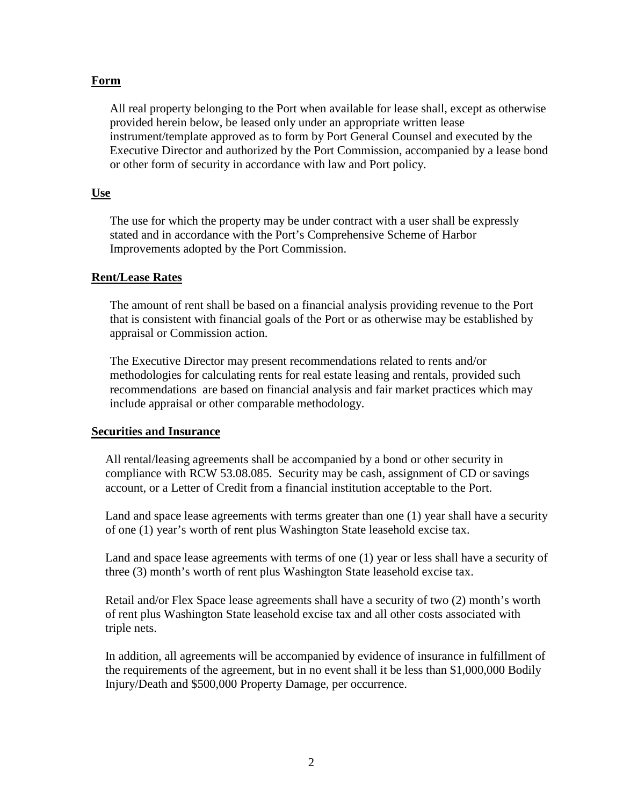## **Form**

All real property belonging to the Port when available for lease shall, except as otherwise provided herein below, be leased only under an appropriate written lease instrument/template approved as to form by Port General Counsel and executed by the Executive Director and authorized by the Port Commission, accompanied by a lease bond or other form of security in accordance with law and Port policy.

### **Use**

The use for which the property may be under contract with a user shall be expressly stated and in accordance with the Port's Comprehensive Scheme of Harbor Improvements adopted by the Port Commission.

### **Rent/Lease Rates**

The amount of rent shall be based on a financial analysis providing revenue to the Port that is consistent with financial goals of the Port or as otherwise may be established by appraisal or Commission action.

The Executive Director may present recommendations related to rents and/or methodologies for calculating rents for real estate leasing and rentals, provided such recommendations are based on financial analysis and fair market practices which may include appraisal or other comparable methodology.

#### **Securities and Insurance**

All rental/leasing agreements shall be accompanied by a bond or other security in compliance with RCW 53.08.085. Security may be cash, assignment of CD or savings account, or a Letter of Credit from a financial institution acceptable to the Port.

Land and space lease agreements with terms greater than one (1) year shall have a security of one (1) year's worth of rent plus Washington State leasehold excise tax.

Land and space lease agreements with terms of one (1) year or less shall have a security of three (3) month's worth of rent plus Washington State leasehold excise tax.

Retail and/or Flex Space lease agreements shall have a security of two (2) month's worth of rent plus Washington State leasehold excise tax and all other costs associated with triple nets.

In addition, all agreements will be accompanied by evidence of insurance in fulfillment of the requirements of the agreement, but in no event shall it be less than \$1,000,000 Bodily Injury/Death and \$500,000 Property Damage, per occurrence.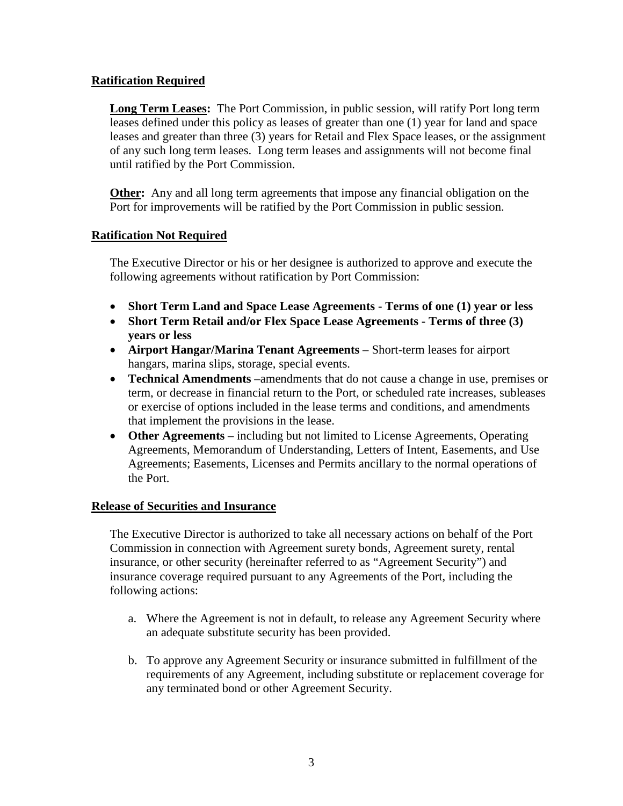# **Ratification Required**

**Long Term Leases:** The Port Commission, in public session, will ratify Port long term leases defined under this policy as leases of greater than one (1) year for land and space leases and greater than three (3) years for Retail and Flex Space leases, or the assignment of any such long term leases. Long term leases and assignments will not become final until ratified by the Port Commission.

**Other:** Any and all long term agreements that impose any financial obligation on the Port for improvements will be ratified by the Port Commission in public session.

# **Ratification Not Required**

The Executive Director or his or her designee is authorized to approve and execute the following agreements without ratification by Port Commission:

- **Short Term Land and Space Lease Agreements Terms of one (1) year or less**
- **Short Term Retail and/or Flex Space Lease Agreements Terms of three (3) years or less**
- **Airport Hangar/Marina Tenant Agreements** Short-term leases for airport hangars, marina slips, storage, special events.
- **Technical Amendments** –amendments that do not cause a change in use, premises or term, or decrease in financial return to the Port, or scheduled rate increases, subleases or exercise of options included in the lease terms and conditions, and amendments that implement the provisions in the lease.
- **Other Agreements** including but not limited to License Agreements, Operating Agreements, Memorandum of Understanding, Letters of Intent, Easements, and Use Agreements; Easements, Licenses and Permits ancillary to the normal operations of the Port.

## **Release of Securities and Insurance**

The Executive Director is authorized to take all necessary actions on behalf of the Port Commission in connection with Agreement surety bonds, Agreement surety, rental insurance, or other security (hereinafter referred to as "Agreement Security") and insurance coverage required pursuant to any Agreements of the Port, including the following actions:

- a. Where the Agreement is not in default, to release any Agreement Security where an adequate substitute security has been provided.
- b. To approve any Agreement Security or insurance submitted in fulfillment of the requirements of any Agreement, including substitute or replacement coverage for any terminated bond or other Agreement Security.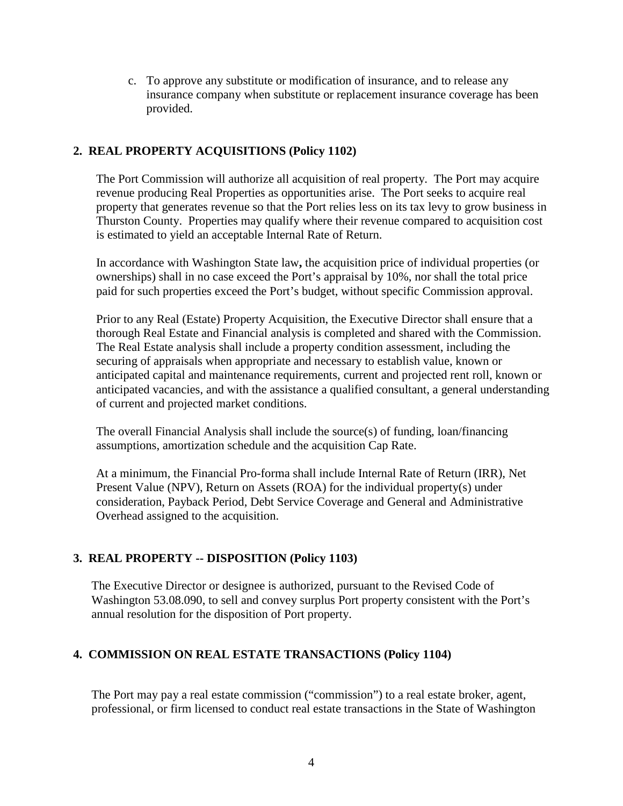c. To approve any substitute or modification of insurance, and to release any insurance company when substitute or replacement insurance coverage has been provided.

# **2. REAL PROPERTY ACQUISITIONS (Policy 1102)**

The Port Commission will authorize all acquisition of real property. The Port may acquire revenue producing Real Properties as opportunities arise. The Port seeks to acquire real property that generates revenue so that the Port relies less on its tax levy to grow business in Thurston County. Properties may qualify where their revenue compared to acquisition cost is estimated to yield an acceptable Internal Rate of Return.

In accordance with Washington State law**,** the acquisition price of individual properties (or ownerships) shall in no case exceed the Port's appraisal by 10%, nor shall the total price paid for such properties exceed the Port's budget, without specific Commission approval.

Prior to any Real (Estate) Property Acquisition, the Executive Director shall ensure that a thorough Real Estate and Financial analysis is completed and shared with the Commission. The Real Estate analysis shall include a property condition assessment, including the securing of appraisals when appropriate and necessary to establish value, known or anticipated capital and maintenance requirements, current and projected rent roll, known or anticipated vacancies, and with the assistance a qualified consultant, a general understanding of current and projected market conditions.

The overall Financial Analysis shall include the source(s) of funding, loan/financing assumptions, amortization schedule and the acquisition Cap Rate.

At a minimum, the Financial Pro-forma shall include Internal Rate of Return (IRR), Net Present Value (NPV), Return on Assets (ROA) for the individual property(s) under consideration, Payback Period, Debt Service Coverage and General and Administrative Overhead assigned to the acquisition.

# **3. REAL PROPERTY -- DISPOSITION (Policy 1103)**

The Executive Director or designee is authorized, pursuant to the Revised Code of Washington 53.08.090, to sell and convey surplus Port property consistent with the Port's annual resolution for the disposition of Port property.

# **4. COMMISSION ON REAL ESTATE TRANSACTIONS (Policy 1104)**

The Port may pay a real estate commission ("commission") to a real estate broker, agent, professional, or firm licensed to conduct real estate transactions in the State of Washington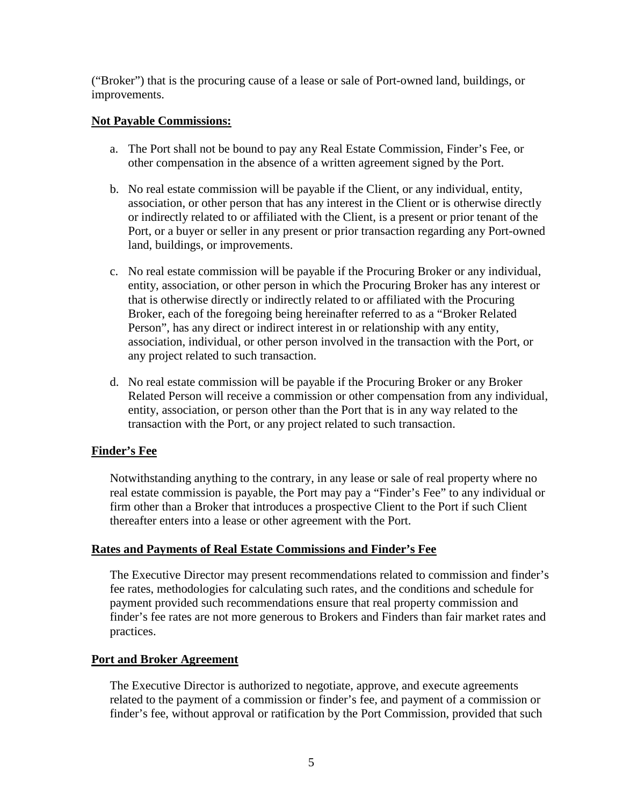("Broker") that is the procuring cause of a lease or sale of Port-owned land, buildings, or improvements.

## **Not Payable Commissions:**

- a. The Port shall not be bound to pay any Real Estate Commission, Finder's Fee, or other compensation in the absence of a written agreement signed by the Port.
- b. No real estate commission will be payable if the Client, or any individual, entity, association, or other person that has any interest in the Client or is otherwise directly or indirectly related to or affiliated with the Client, is a present or prior tenant of the Port, or a buyer or seller in any present or prior transaction regarding any Port-owned land, buildings, or improvements.
- c. No real estate commission will be payable if the Procuring Broker or any individual, entity, association, or other person in which the Procuring Broker has any interest or that is otherwise directly or indirectly related to or affiliated with the Procuring Broker, each of the foregoing being hereinafter referred to as a "Broker Related Person", has any direct or indirect interest in or relationship with any entity, association, individual, or other person involved in the transaction with the Port, or any project related to such transaction.
- d. No real estate commission will be payable if the Procuring Broker or any Broker Related Person will receive a commission or other compensation from any individual, entity, association, or person other than the Port that is in any way related to the transaction with the Port, or any project related to such transaction.

# **Finder's Fee**

Notwithstanding anything to the contrary, in any lease or sale of real property where no real estate commission is payable, the Port may pay a "Finder's Fee" to any individual or firm other than a Broker that introduces a prospective Client to the Port if such Client thereafter enters into a lease or other agreement with the Port.

## **Rates and Payments of Real Estate Commissions and Finder's Fee**

The Executive Director may present recommendations related to commission and finder's fee rates, methodologies for calculating such rates, and the conditions and schedule for payment provided such recommendations ensure that real property commission and finder's fee rates are not more generous to Brokers and Finders than fair market rates and practices.

## **Port and Broker Agreement**

The Executive Director is authorized to negotiate, approve, and execute agreements related to the payment of a commission or finder's fee, and payment of a commission or finder's fee, without approval or ratification by the Port Commission, provided that such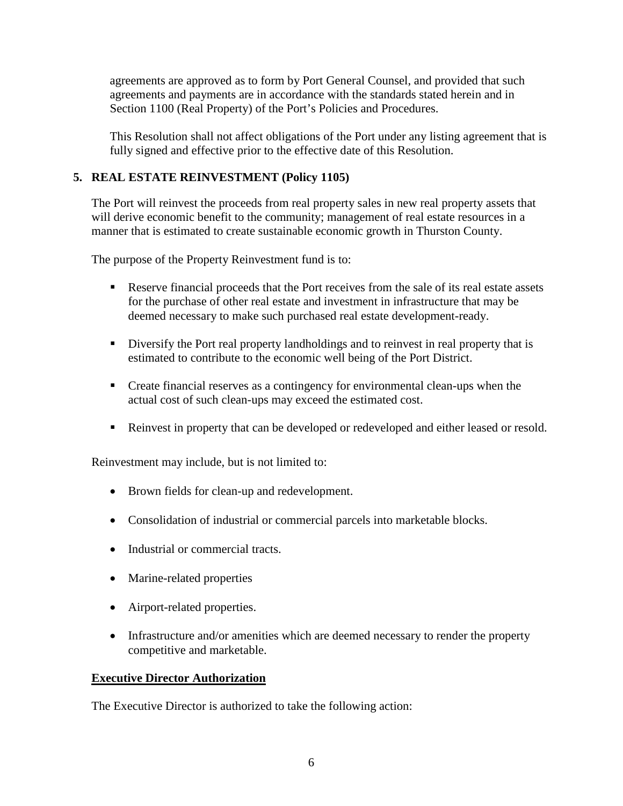agreements are approved as to form by Port General Counsel, and provided that such agreements and payments are in accordance with the standards stated herein and in Section 1100 (Real Property) of the Port's Policies and Procedures.

This Resolution shall not affect obligations of the Port under any listing agreement that is fully signed and effective prior to the effective date of this Resolution.

# **5. REAL ESTATE REINVESTMENT (Policy 1105)**

The Port will reinvest the proceeds from real property sales in new real property assets that will derive economic benefit to the community; management of real estate resources in a manner that is estimated to create sustainable economic growth in Thurston County.

The purpose of the Property Reinvestment fund is to:

- Reserve financial proceeds that the Port receives from the sale of its real estate assets for the purchase of other real estate and investment in infrastructure that may be deemed necessary to make such purchased real estate development-ready.
- Diversify the Port real property landholdings and to reinvest in real property that is estimated to contribute to the economic well being of the Port District.
- Create financial reserves as a contingency for environmental clean-ups when the actual cost of such clean-ups may exceed the estimated cost.
- Reinvest in property that can be developed or redeveloped and either leased or resold.

Reinvestment may include, but is not limited to:

- Brown fields for clean-up and redevelopment.
- Consolidation of industrial or commercial parcels into marketable blocks.
- Industrial or commercial tracts.
- Marine-related properties
- Airport-related properties.
- Infrastructure and/or amenities which are deemed necessary to render the property competitive and marketable.

# **Executive Director Authorization**

The Executive Director is authorized to take the following action: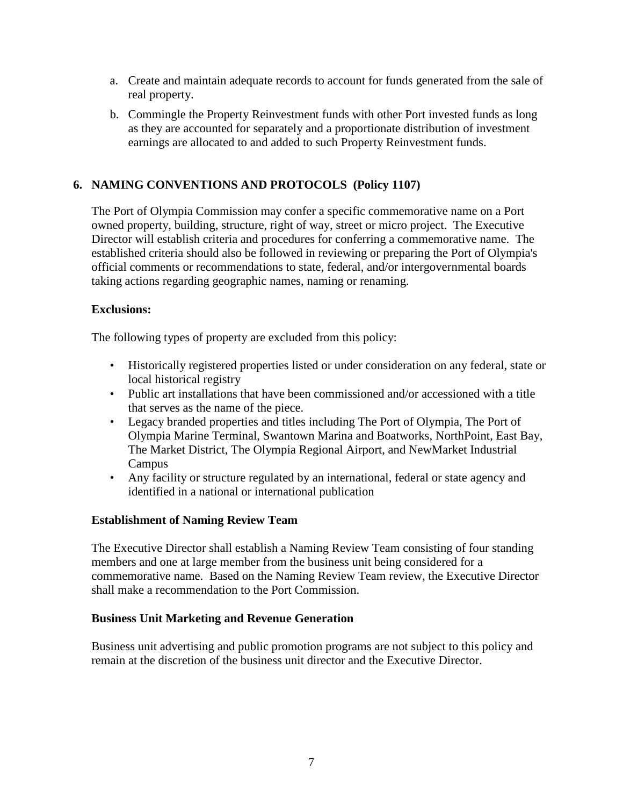- a. Create and maintain adequate records to account for funds generated from the sale of real property.
- b. Commingle the Property Reinvestment funds with other Port invested funds as long as they are accounted for separately and a proportionate distribution of investment earnings are allocated to and added to such Property Reinvestment funds.

# **6. NAMING CONVENTIONS AND PROTOCOLS (Policy 1107)**

The Port of Olympia Commission may confer a specific commemorative name on a Port owned property, building, structure, right of way, street or micro project. The Executive Director will establish criteria and procedures for conferring a commemorative name. The established criteria should also be followed in reviewing or preparing the Port of Olympia's official comments or recommendations to state, federal, and/or intergovernmental boards taking actions regarding geographic names, naming or renaming.

## **Exclusions:**

The following types of property are excluded from this policy:

- Historically registered properties listed or under consideration on any federal, state or local historical registry
- Public art installations that have been commissioned and/or accessioned with a title that serves as the name of the piece.
- Legacy branded properties and titles including The Port of Olympia, The Port of Olympia Marine Terminal, Swantown Marina and Boatworks, NorthPoint, East Bay, The Market District, The Olympia Regional Airport, and NewMarket Industrial Campus
- Any facility or structure regulated by an international, federal or state agency and identified in a national or international publication

# **Establishment of Naming Review Team**

The Executive Director shall establish a Naming Review Team consisting of four standing members and one at large member from the business unit being considered for a commemorative name. Based on the Naming Review Team review, the Executive Director shall make a recommendation to the Port Commission.

## **Business Unit Marketing and Revenue Generation**

Business unit advertising and public promotion programs are not subject to this policy and remain at the discretion of the business unit director and the Executive Director.